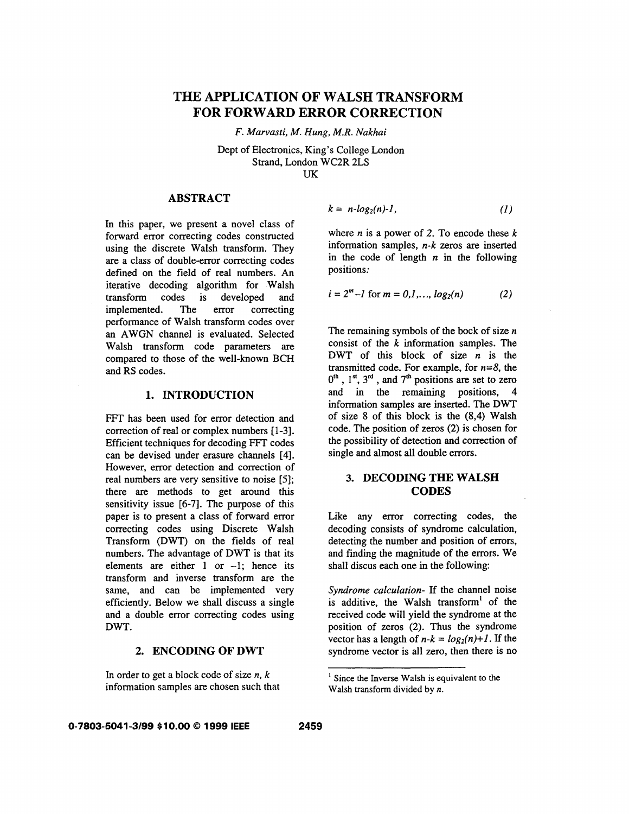# **THE APPLICATION OF WALSH TRANSFORM FOR FORWARD ERROR CORRECTION**

*F. Marvasti, M. Hung, M.R. Nakhai* 

Dept of Electronics, King's College London Strand, London WC2R 2LS UK

### **ABSTRACT**

In this paper, we present a novel class of forward error correcting codes constructed using the discrete Walsh transform. They are a class of double-error correcting codes defined on the field of real numbers. An iterative decoding algorithm for Walsh transform codes is developed and implemented. The error correcting performance of Walsh transform codes over an AWGN channel is evaluated. Selected Walsh transform code parameters are compared to those of the well-known BCH and RS codes.

#### **1. INTRODUCTION**

FFT has been used for error detection and correction of real or complex numbers [l-31. Efficient techniques for decoding FFT codes can be devised under erasure channels **[4].**  However, error detection and correction of real numbers are very sensitive to noise *[5];*  there are methods to get around this sensitivity issue **[6-71.** The purpose of this paper is to present a class of forward error correcting codes using Discrete Walsh Transform (DWT) on the fields of real numbers. The advantage of DWT is that its elements are either  $1$  or  $-1$ ; hence its transform and inverse transform are the same, and can be implemented very efficiently. Below we shall discuss a single and a double error correcting codes using DWT.

## **2. ENCODING OF DWT**

In order to get a block code of size *n, k*  information samples are chosen such that

$$
k = n \cdot \log_2(n) \cdot 1, \qquad (1)
$$

where *n* is a power of 2. To encode these *k*  information samples, *n-k* zeros are inserted in the code of length *n* in the following positions:

$$
i = 2m - 1
$$
 for  $m = 0, 1, ..., log2(n)$  (2)

The remaining symbols of the bock of size *n*  consist of the *k* information samples. The DWT of this block of size *n* is the transmitted code. For example, for *n=8,* the  $0^{th}$ , 1<sup>st</sup>, 3<sup>rd</sup>, and 7<sup>th</sup> positions are set to zero and in the remaining positions, **4**  information samples are inserted. The DWT of size **8** of this block is the **(8,4)** Walsh code. The position of zeros (2) **is** chosen for the possibility of detection and correction of single and almost all double errors.

# **3. DECODING THE WALSH CODES**

Like any error correcting codes, the decoding consists of syndrome calculation, detecting the number and position of errors, and finding the magnitude of the errors. We shall discus each one in the following:

*Syndrome calculation-* If the channel noise is additive, the Walsh transform' of the received code will yield the syndrome at the position of zeros **(2).** Thus the syndrome vector has a length of  $n-k = log_2(n)+1$ . If the syndrome vector is all zero, then there is no

<sup>&</sup>lt;sup>1</sup> Since the Inverse Walsh is equivalent to the Walsh **transform** divided **by** *n.*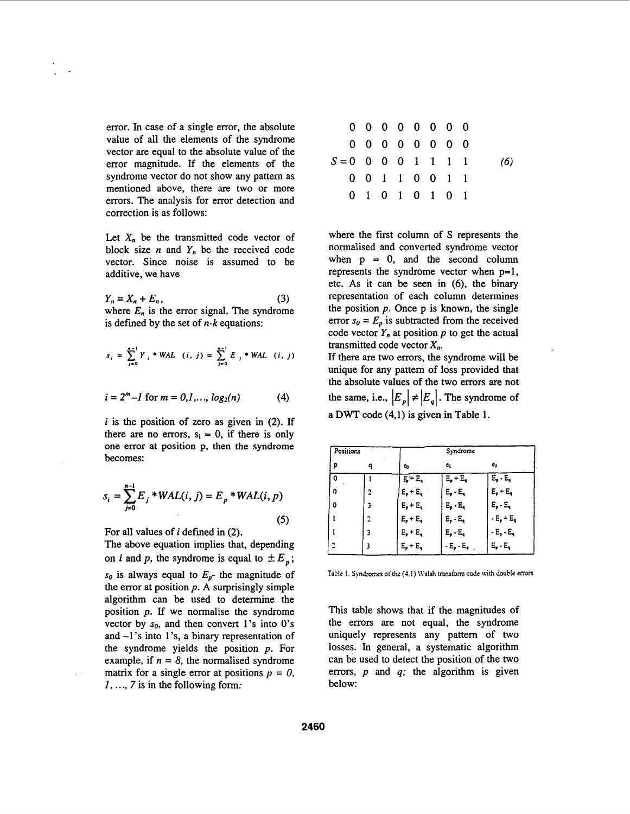error. In case of a single error, the absolute value of all the elements of the syndrome vector are equal to the absolute value **of** the error magnitude. If the elements of the syndrome vector do not show any pattern as mentioned above, there are two or more errors. The analysis for error detection and correction is as follows:

Let  $X_n$  be the transmitted code vector of block size *n* and  $Y_n$  be the received code vector. Since noise is assumed to be additive, we have

 $Y_n = X_n + E_n,$  (3) where  $E_n$  is the error signal. The syndrome is defined by the set of *n-k* equations:

$$
s_i = \sum_{j=0}^{n-1} Y_j * WAL \quad (i, j) = \sum_{j=0}^{n-1} E_j * WAL \quad (i, j)
$$

$$
i = 2m - 1 \text{ for } m = 0, 1, ..., \log_2(n) \tag{4}
$$

 $i$  is the position of zero as given in  $(2)$ . If there are no errors,  $s_i = 0$ , if there is only one error at position p, then the syndrome becomes:

$$
s_i = \sum_{j=0}^{n-1} E_j * WAL(i, j) = E_p * WAL(i, p)
$$
\n(5)

For all values of *i* defined in (2).

.

The above equation implies that, depending on *i* and *p*, the syndrome is equal to  $\pm E_n$ ;  $s_0$  is always equal to  $E_p$ - the magnitude of the error at position *p.* **A** surprisingly simple algorithm can be used to determine the position *p.* If we normalise the syndrome vector by  $s_0$ , and then convert 1's into 0's and **-1's** into 1 **'s,** a binary representation of the syndrome yields the position *p.* For example, if  $n = 8$ , the normalised syndrome matrix for a single error at positions  $p = 0$ , *I*, ..., 7 is in the following form:

|                     |  |  | 0 0 0 0 0 0 0 0 |  |     |
|---------------------|--|--|-----------------|--|-----|
|                     |  |  | 00000000        |  |     |
| $S=0$ 0 0 0 1 1 1 1 |  |  |                 |  | (6) |
|                     |  |  | 0 0 1 1 0 0 1 1 |  |     |
|                     |  |  | 0 1 0 1 0 1 0 1 |  |     |

where the first column of S represents the normalised and converted syndrome vector when  $p = 0$ , and the second column represents the syndrome vector when  $p=1$ , etc. **As** it can be seen in **(6),** the binary representation of each column determines the position *p.* Once p is known, the single error  $s_0 = E_p$  is subtracted from the received code vector  $Y_n$  at position  $p$  to get the actual transmitted code vector  $X_n$ .

If there are two errors, the syndrome will be unique for any pattern of loss provided that the absolute values of the two errors are not the same, i.e.,  $|E_p| \neq |E_q|$ . The syndrome of a **DWT** code **(4.1)** is given in Table 1.

| Positions |   |             | Syndrome                                          |              |  |
|-----------|---|-------------|---------------------------------------------------|--------------|--|
| p         |   | Ċg          | ¢ı                                                | ¢,           |  |
| 0         |   | $E + E$     | $E_{\bullet} + E_{\bullet}$                       | $E_0 - E_0$  |  |
| 0         |   | $E_p + E_q$ | $E_p - E_q$                                       | $E_p + E_q$  |  |
| 0         |   | $E_p + E_q$ | $E_p \cdot E_q$                                   | $E_p - E_q$  |  |
|           | ٦ | $E_p + E_q$ | $\mathsf{E}_\mathsf{p}\cdot\mathsf{E}_\mathsf{q}$ | $-E_p + E_q$ |  |
|           |   | $E_p + E_q$ | $E_p - E_q$                                       | $-E_p - E_q$ |  |
|           |   | $E_p + E_q$ | $-E_p - E_q$                                      | $E_p - E_q$  |  |

Table 1. Syndromes of the (4,1) Walsh transform code with double errors

This table shows that if the magnitudes of the errors are not equal, the syndrome uniquely represents any pattern of two losses. In general, a systematic algorithm can be used to detect the position of the two errors, *p* and *q;* the algorithm is given below: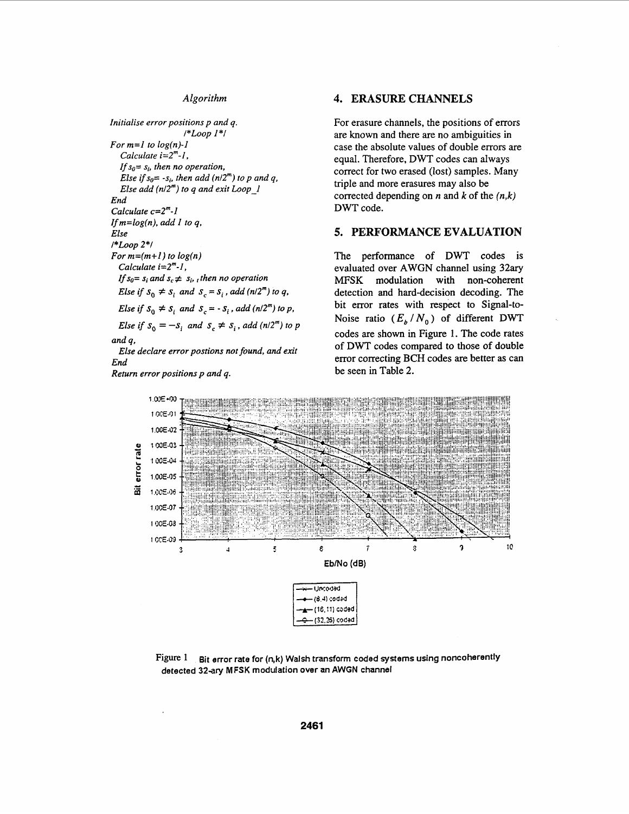### *Algorithm*

*Initialise error positions p and q. For m=I to log(n)-1 Calculate i=2"-I, If*  $s_0 = s_i$ , then no operation, *Else if*  $s_0 = -s_i$ , then add (n/2<sup>m</sup>) to p and q, *Else add (n12") to q and exit Loop-1 /\*Loop I \*I End Calculate c=2"-I Ifm=log(n), add I to q, Else /\*Loop 2\*/ For m=(m+l) to log(n) Calculate i=2'"-1, If*  $s_0 = s_i$  and  $s_c \neq s_i$ , *then no operation Else if*  $s_0 \neq s_i$  *and*  $s_c = s_i$ *, add* (n/2<sup>m</sup>) to *q*, *Else if*  $s_0 \neq s_i$  *and*  $s_c = -s_i$ *, add* (*n*/2<sup>*m*</sup>) *to p*, *Else if*  $s_0 = -s_i$  *and*  $s_i \neq s_i$ *, add* (n/2<sup>*m*</sup>) to p *Else declare error postions not found, and exit and q, End* 

#### *Return error positions p and q.*

# **4. ERASURE CHANNELS**

For erasure channels, the positions of errors are known and there are no ambiguities in case the absolute values of double errors are equal. Therefore, DWT codes can always correct for two erased (lost) samples. Many triple and more erasures may also be corrected depending on *n* and *k* of the  $(n, k)$ DWT code.

### **5. PERFORMANCE EVALUATION**

The performance of DWT codes is evaluated over AWGN channel using *32ary*  **MFSK** modulation with non-coherent detection and hard-decision decoding. The bit error rates with respect *to* Signal-to-Noise ratio  $(E_b/N_0)$  of different DWT codes are shown in Figure **1.** The code rates of DWT codes compared *to* those **of** double error correcting BCH codes are better as can be seen in Table **2.** 



Figure 1 Bit error rate for (n,k) Walsh transform coded systems using noncoherently **detected 32-a~ MFSK modulation over an AWGN channel**